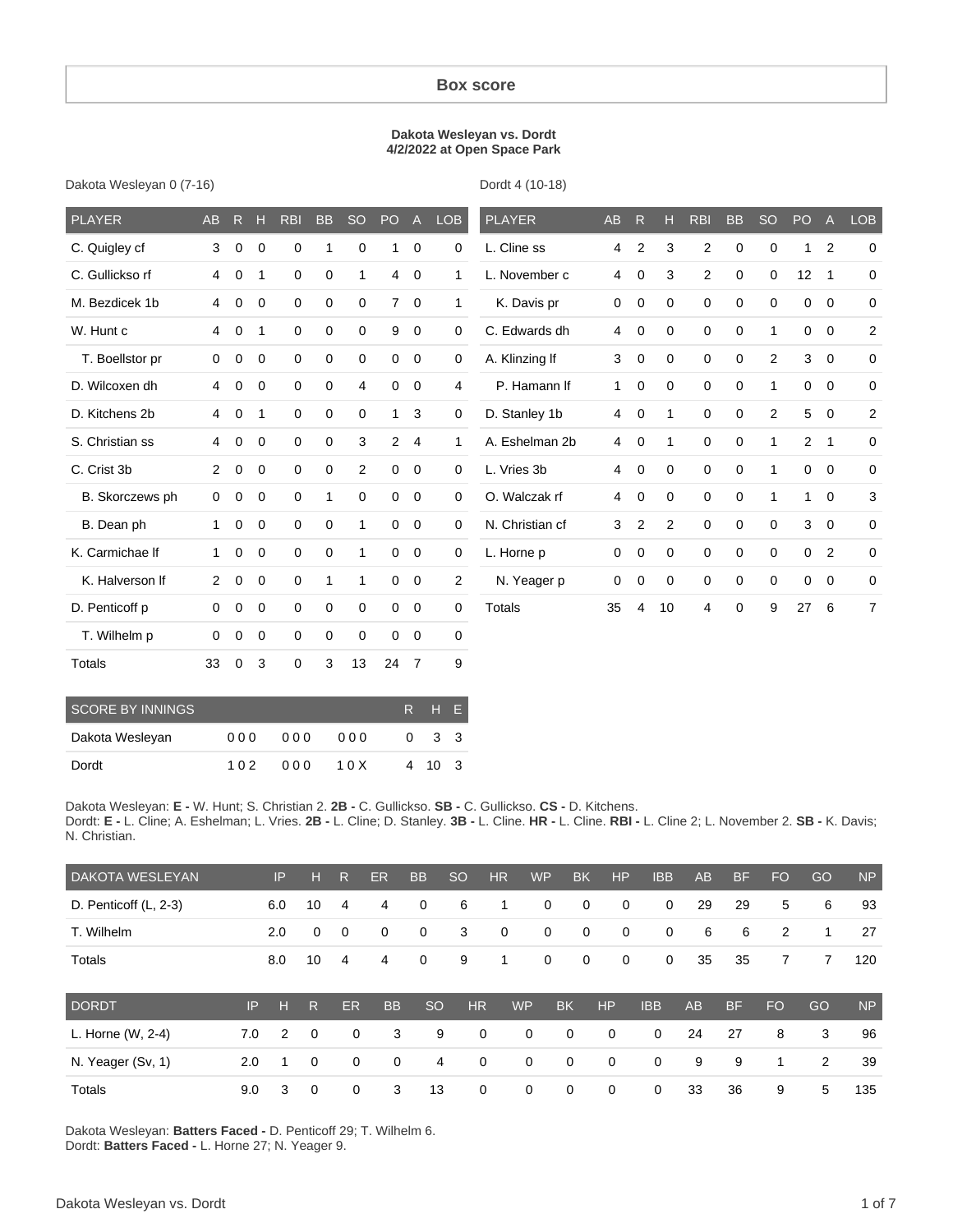#### **Box score**

#### **Dakota Wesleyan vs. Dordt 4/2/2022 at Open Space Park**

Dakota Wesleyan 0 (7-16)

Dordt 4 (10-18)

| <b>PLAYER</b>   | <b>AB</b>      | R           | H              | <b>RBI</b>  | <b>BB</b>    | <b>SO</b>      | PO             | $\mathsf{A}$   | <b>LOB</b>     | <b>PLAYER</b>   | <b>AB</b> | $\mathsf{R}$   | н              | <b>RBI</b>       | <b>BB</b>   | <b>SO</b>      | PO             | $\mathsf{A}$   | LOB            |
|-----------------|----------------|-------------|----------------|-------------|--------------|----------------|----------------|----------------|----------------|-----------------|-----------|----------------|----------------|------------------|-------------|----------------|----------------|----------------|----------------|
| C. Quigley cf   | 3              | $\mathbf 0$ | $\mathbf 0$    | $\mathbf 0$ | 1            | 0              | 1              | 0              | 0              | L. Cline ss     | 4         | $\overline{2}$ | 3              | $\overline{2}$   | 0           | 0              | 1              | 2              | $\mathbf 0$    |
| C. Gullickso rf | 4              | $\mathbf 0$ | 1              | $\mathbf 0$ | $\mathbf 0$  | 1              | $\overline{4}$ | $\mathbf 0$    | $\mathbf{1}$   | L. November c   | 4         | $\mathbf 0$    | 3              | $\overline{2}$   | $\mathbf 0$ | 0              | 12             | $\overline{1}$ | $\mathbf 0$    |
| M. Bezdicek 1b  | 4              | $\Omega$    | $\Omega$       | $\Omega$    | $\mathbf 0$  | 0              | 7              | $\mathbf 0$    | $\mathbf{1}$   | K. Davis pr     | 0         | $\mathbf 0$    | $\Omega$       | $\mathbf 0$      | $\mathbf 0$ | $\Omega$       | $\Omega$       | $\Omega$       | $\mathbf 0$    |
| W. Hunt c       | 4              | $\mathbf 0$ | 1              | $\mathbf 0$ | 0            | 0              | 9              | $\mathbf 0$    | 0              | C. Edwards dh   | 4         | $\mathbf 0$    | $\mathbf 0$    | $\mathbf 0$      | $\mathbf 0$ | 1              | $\mathbf 0$    | $\overline{0}$ | $\overline{2}$ |
| T. Boellstor pr | $\mathbf 0$    | 0           | $\overline{0}$ | $\mathbf 0$ | 0            | 0              | 0              | $\mathbf 0$    | 0              | A. Klinzing If  | 3         | $\mathbf 0$    | 0              | $\boldsymbol{0}$ | 0           | 2              | 3              | $\mathbf 0$    | 0              |
| D. Wilcoxen dh  | $\overline{4}$ | $\mathbf 0$ | $\overline{0}$ | 0           | 0            | 4              | $\mathbf 0$    | $\mathbf 0$    | 4              | P. Hamann If    | 1         | $\mathbf 0$    | 0              | $\mathbf 0$      | 0           | 1              | $\mathbf 0$    | $\mathbf{0}$   | 0              |
| D. Kitchens 2b  | 4              | $\mathbf 0$ | $\overline{1}$ | $\mathbf 0$ | 0            | 0              | $\mathbf{1}$   | 3              | 0              | D. Stanley 1b   | 4         | $\mathbf 0$    | $\mathbf{1}$   | $\mathbf 0$      | $\mathbf 0$ | $\overline{2}$ | 5              | $\mathbf 0$    | $\overline{2}$ |
| S. Christian ss | 4              | $\Omega$    | $\overline{0}$ | $\mathbf 0$ | 0            | 3              | $\mathbf{2}$   | $\overline{4}$ | $\mathbf{1}$   | A. Eshelman 2b  | 4         | $\mathbf 0$    | 1              | $\mathbf 0$      | $\mathbf 0$ | 1              | $\overline{2}$ | $\overline{1}$ | $\mathbf 0$    |
| C. Crist 3b     | 2              | $\mathbf 0$ | $\mathbf{0}$   | $\mathbf 0$ | $\mathbf 0$  | $\overline{2}$ | 0              | $\mathbf 0$    | $\mathbf 0$    | L. Vries 3b     | 4         | $\mathbf 0$    | $\Omega$       | $\mathbf 0$      | $\mathbf 0$ | 1              | 0              | $\Omega$       | 0              |
| B. Skorczews ph | $\mathbf 0$    | 0           | $\mathbf{0}$   | $\mathbf 0$ | 1            | 0              | 0              | $\mathbf 0$    | 0              | O. Walczak rf   | 4         | 0              | $\Omega$       | $\mathbf 0$      | $\mathbf 0$ | 1              | 1              | $\Omega$       | 3              |
| B. Dean ph      | $\mathbf{1}$   | $\mathbf 0$ | $\mathbf{0}$   | $\mathbf 0$ | 0            | 1              | 0              | $\mathbf 0$    | 0              | N. Christian cf | 3         | $\overline{2}$ | $\overline{2}$ | $\mathbf 0$      | $\mathbf 0$ | $\mathbf 0$    | 3              | $\mathbf 0$    | 0              |
| K. Carmichae If | 1              | 0           | $\mathbf 0$    | $\mathbf 0$ | 0            | $\mathbf{1}$   | 0              | 0              | 0              | L. Horne p      | 0         | 0              | 0              | $\mathbf 0$      | 0           | 0              | $\mathbf 0$    | $\overline{2}$ | 0              |
| K. Halverson If | $\overline{2}$ | $\mathbf 0$ | $\overline{0}$ | $\mathbf 0$ | $\mathbf{1}$ | 1              | $\mathbf{0}$   | $\overline{0}$ | $\overline{2}$ | N. Yeager p     | 0         | $\mathbf 0$    | $\mathbf 0$    | $\mathbf 0$      | $\mathbf 0$ | $\mathbf 0$    | 0              | $\mathbf 0$    | 0              |
| D. Penticoff p  | $\Omega$       | $\Omega$    | $\overline{0}$ | $\mathbf 0$ | 0            | 0              | $\overline{0}$ | $\mathbf 0$    | $\Omega$       | <b>Totals</b>   | 35        | $\overline{4}$ | 10             | 4                | $\mathbf 0$ | 9              | 27             | 6              | $\overline{7}$ |
| T. Wilhelm p    | 0              | $\Omega$    | $\mathbf{0}$   | $\mathbf 0$ | $\mathbf 0$  | 0              | 0              | $\mathbf 0$    | 0              |                 |           |                |                |                  |             |                |                |                |                |
| <b>Totals</b>   | 33             | $\Omega$    | 3              | $\mathbf 0$ | 3            | 13             | 24             | $\overline{7}$ | 9              |                 |           |                |                |                  |             |                |                |                |                |

| <b>SCORE BY INNINGS</b> |     |     |       | R H E       |     |
|-------------------------|-----|-----|-------|-------------|-----|
| Dakota Wesleyan         | 000 | 000 | 000   | $0 \t3 \t3$ |     |
| Dordt                   | 102 | 000 | 1 0 X | 4 10        | - 3 |

Dakota Wesleyan: **E -** W. Hunt; S. Christian 2. **2B -** C. Gullickso. **SB -** C. Gullickso. **CS -** D. Kitchens. Dordt: **E -** L. Cline; A. Eshelman; L. Vries. **2B -** L. Cline; D. Stanley. **3B -** L. Cline. **HR -** L. Cline. **RBI -** L. Cline 2; L. November 2. **SB -** K. Davis; N. Christian.

| <b>DAKOTA WESLEYAN</b> |     | IP             | н           | R           | ER        | <b>BB</b>     | <b>SO</b>   | HR          | <b>WP</b> | <b>BK</b>   | <b>HP</b>   | <b>IBB</b>  | <b>AB</b> | <b>BF</b> | <b>FO</b> | GO | <b>NP</b> |
|------------------------|-----|----------------|-------------|-------------|-----------|---------------|-------------|-------------|-----------|-------------|-------------|-------------|-----------|-----------|-----------|----|-----------|
| D. Penticoff (L, 2-3)  |     | 6.0            | 10          | 4           | 4         | $\mathbf 0$   | 6           | 1           | 0         | $\mathbf 0$ | 0           | 0           | 29        | 29        | 5         | 6  | 93        |
| T. Wilhelm             |     | 2.0            | $\mathbf 0$ | 0           | 0         | $\mathbf 0$   | 3           | 0           | 0         | $\mathbf 0$ | 0           | $\mathbf 0$ | 6         | 6         | 2         | 1  | 27        |
| Totals                 |     | 8.0            | 10          | 4           | 4         | $\mathbf 0$   | 9           | 1           | 0         | 0           | 0           | 0           | 35        | 35        | 7         | 7  | 120       |
| <b>DORDT</b>           | IP  | н              | R           | <b>ER</b>   | <b>BB</b> | <sub>SO</sub> | <b>HR</b>   | <b>WP</b>   |           | <b>BK</b>   | HP          | <b>IBB</b>  | <b>AB</b> | <b>BF</b> | <b>FO</b> | GO | <b>NP</b> |
| L. Horne (W, 2-4)      | 7.0 | $\overline{2}$ | $\Omega$    | $\mathbf 0$ | 3         | 9             | $\mathbf 0$ |             | 0         | 0           | $\mathbf 0$ | $\mathbf 0$ | 24        | 27        | 8         | 3  | 96        |
| N. Yeager (Sv, 1)      | 2.0 | 1              | 0           | $\mathbf 0$ | 0         | 4             |             | $\mathbf 0$ | 0         | $\mathbf 0$ | $\mathbf 0$ | $\mathbf 0$ | 9         | 9         | 1         | 2  | 39        |
| Totals                 | 9.0 | 3              | $\Omega$    | 0           | 3         | 13            | $\mathbf 0$ |             | 0         | 0           | 0           | 0           | 33        | 36        | 9         | 5  | 135       |

Dakota Wesleyan: **Batters Faced -** D. Penticoff 29; T. Wilhelm 6. Dordt: **Batters Faced -** L. Horne 27; N. Yeager 9.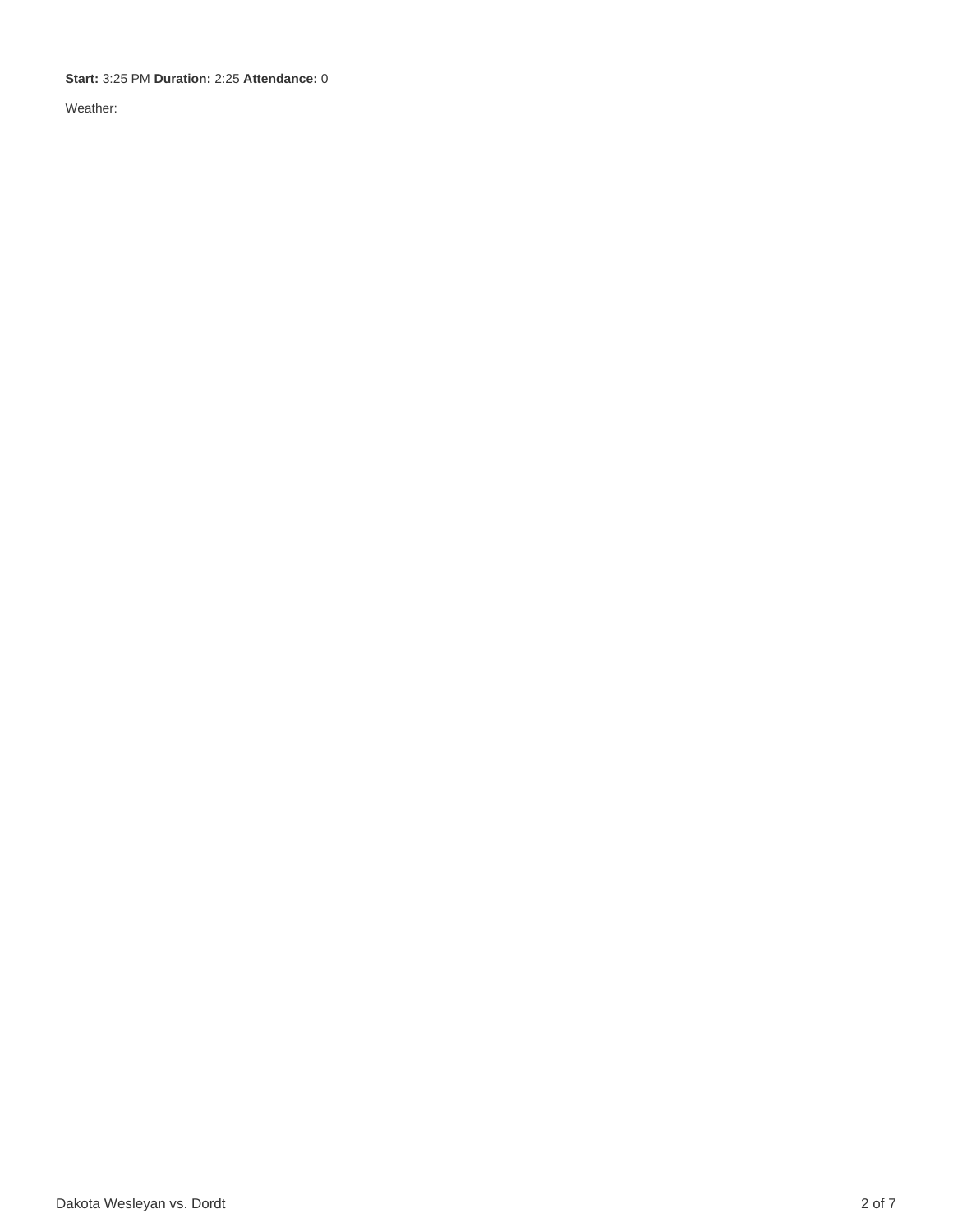**Start:** 3:25 PM **Duration:** 2:25 **Attendance:** 0

Weather: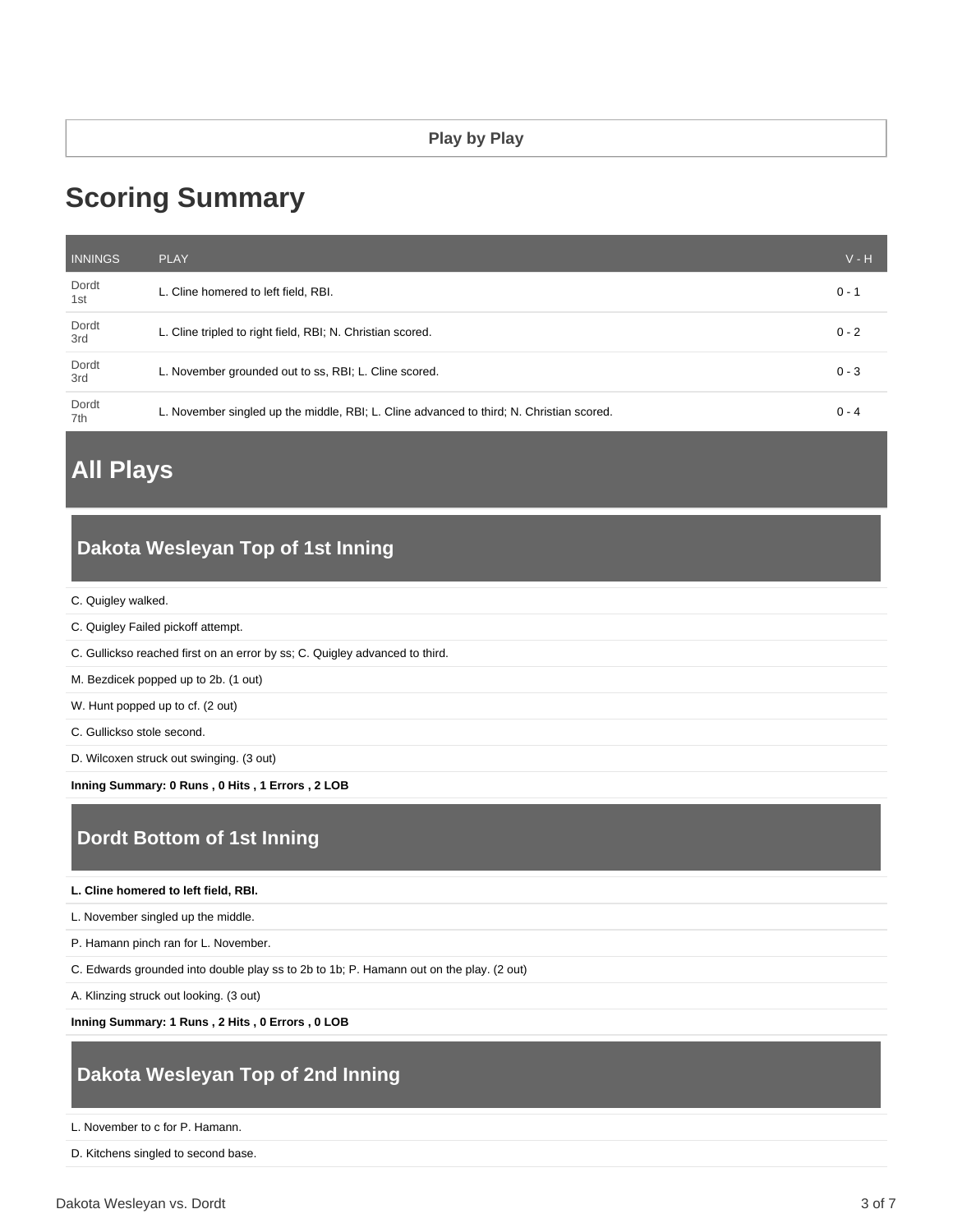# **Scoring Summary**

| <b>INNINGS</b> | <b>PLAY</b>                                                                              | $V - H$ |
|----------------|------------------------------------------------------------------------------------------|---------|
| Dordt<br>1st   | L. Cline homered to left field, RBI.                                                     | $0 - 1$ |
| Dordt<br>3rd   | L. Cline tripled to right field, RBI; N. Christian scored.                               | $0 - 2$ |
| Dordt<br>3rd   | L. November grounded out to ss, RBI; L. Cline scored.                                    | $0 - 3$ |
| Dordt<br>7th   | L. November singled up the middle, RBI; L. Cline advanced to third; N. Christian scored. | $0 - 4$ |

# **All Plays**

## **Dakota Wesleyan Top of 1st Inning**

- C. Quigley walked.
- C. Quigley Failed pickoff attempt.
- C. Gullickso reached first on an error by ss; C. Quigley advanced to third.
- M. Bezdicek popped up to 2b. (1 out)
- W. Hunt popped up to cf. (2 out)
- C. Gullickso stole second.
- D. Wilcoxen struck out swinging. (3 out)

**Inning Summary: 0 Runs , 0 Hits , 1 Errors , 2 LOB**

# **Dordt Bottom of 1st Inning**

**L. Cline homered to left field, RBI.**

L. November singled up the middle.

P. Hamann pinch ran for L. November.

C. Edwards grounded into double play ss to 2b to 1b; P. Hamann out on the play. (2 out)

A. Klinzing struck out looking. (3 out)

**Inning Summary: 1 Runs , 2 Hits , 0 Errors , 0 LOB**

# **Dakota Wesleyan Top of 2nd Inning**

L. November to c for P. Hamann.

D. Kitchens singled to second base.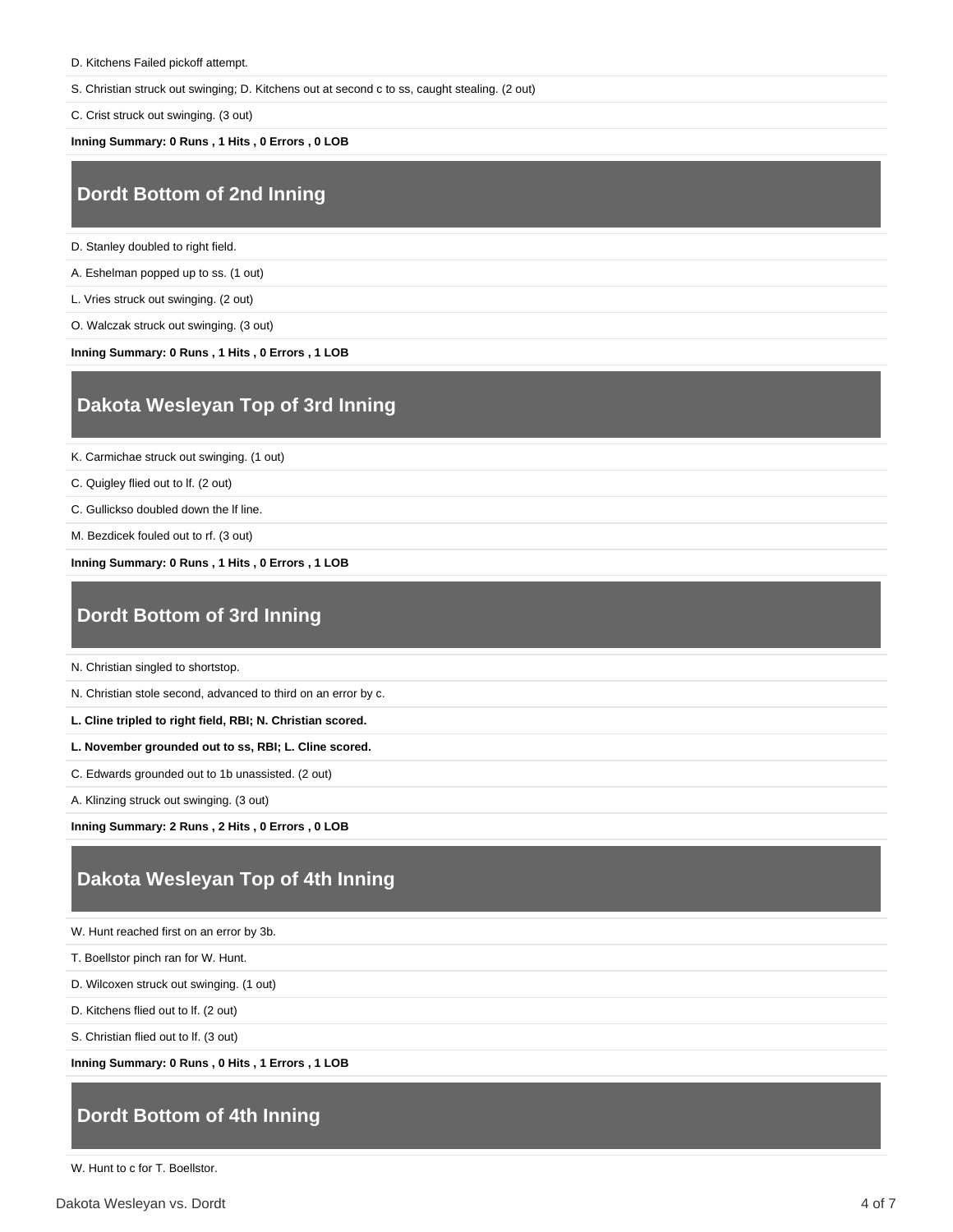S. Christian struck out swinging; D. Kitchens out at second c to ss, caught stealing. (2 out)

C. Crist struck out swinging. (3 out)

**Inning Summary: 0 Runs , 1 Hits , 0 Errors , 0 LOB**

#### **Dordt Bottom of 2nd Inning**

D. Stanley doubled to right field.

A. Eshelman popped up to ss. (1 out)

L. Vries struck out swinging. (2 out)

O. Walczak struck out swinging. (3 out)

**Inning Summary: 0 Runs , 1 Hits , 0 Errors , 1 LOB**

#### **Dakota Wesleyan Top of 3rd Inning**

K. Carmichae struck out swinging. (1 out)

C. Quigley flied out to lf. (2 out)

C. Gullickso doubled down the lf line.

M. Bezdicek fouled out to rf. (3 out)

**Inning Summary: 0 Runs , 1 Hits , 0 Errors , 1 LOB**

#### **Dordt Bottom of 3rd Inning**

N. Christian singled to shortstop.

N. Christian stole second, advanced to third on an error by c.

**L. Cline tripled to right field, RBI; N. Christian scored.**

**L. November grounded out to ss, RBI; L. Cline scored.**

C. Edwards grounded out to 1b unassisted. (2 out)

A. Klinzing struck out swinging. (3 out)

**Inning Summary: 2 Runs , 2 Hits , 0 Errors , 0 LOB**

### **Dakota Wesleyan Top of 4th Inning**

W. Hunt reached first on an error by 3b.

T. Boellstor pinch ran for W. Hunt.

D. Wilcoxen struck out swinging. (1 out)

D. Kitchens flied out to lf. (2 out)

S. Christian flied out to lf. (3 out)

**Inning Summary: 0 Runs , 0 Hits , 1 Errors , 1 LOB**

#### **Dordt Bottom of 4th Inning**

W. Hunt to c for T. Boellstor.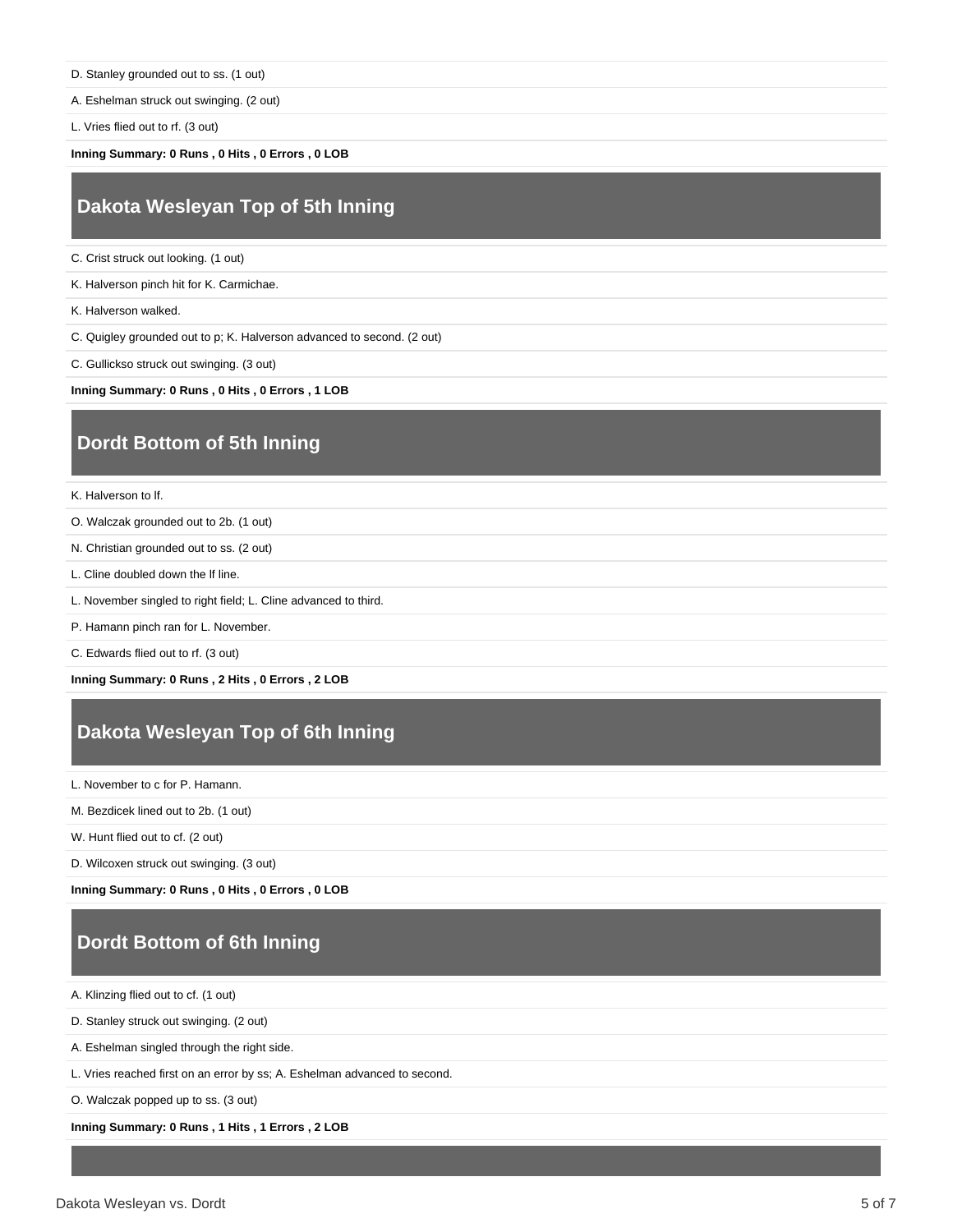D. Stanley grounded out to ss. (1 out)

A. Eshelman struck out swinging. (2 out)

L. Vries flied out to rf. (3 out)

**Inning Summary: 0 Runs , 0 Hits , 0 Errors , 0 LOB**

#### **Dakota Wesleyan Top of 5th Inning**

C. Crist struck out looking. (1 out)

K. Halverson pinch hit for K. Carmichae.

K. Halverson walked.

C. Quigley grounded out to p; K. Halverson advanced to second. (2 out)

C. Gullickso struck out swinging. (3 out)

**Inning Summary: 0 Runs , 0 Hits , 0 Errors , 1 LOB**

### **Dordt Bottom of 5th Inning**

K. Halverson to lf.

- O. Walczak grounded out to 2b. (1 out)
- N. Christian grounded out to ss. (2 out)
- L. Cline doubled down the lf line.
- L. November singled to right field; L. Cline advanced to third.
- P. Hamann pinch ran for L. November.
- C. Edwards flied out to rf. (3 out)

**Inning Summary: 0 Runs , 2 Hits , 0 Errors , 2 LOB**

### **Dakota Wesleyan Top of 6th Inning**

L. November to c for P. Hamann.

M. Bezdicek lined out to 2b. (1 out)

W. Hunt flied out to cf. (2 out)

D. Wilcoxen struck out swinging. (3 out)

**Inning Summary: 0 Runs , 0 Hits , 0 Errors , 0 LOB**

# **Dordt Bottom of 6th Inning**

A. Klinzing flied out to cf. (1 out)

D. Stanley struck out swinging. (2 out)

A. Eshelman singled through the right side.

L. Vries reached first on an error by ss; A. Eshelman advanced to second.

O. Walczak popped up to ss. (3 out)

**Inning Summary: 0 Runs , 1 Hits , 1 Errors , 2 LOB**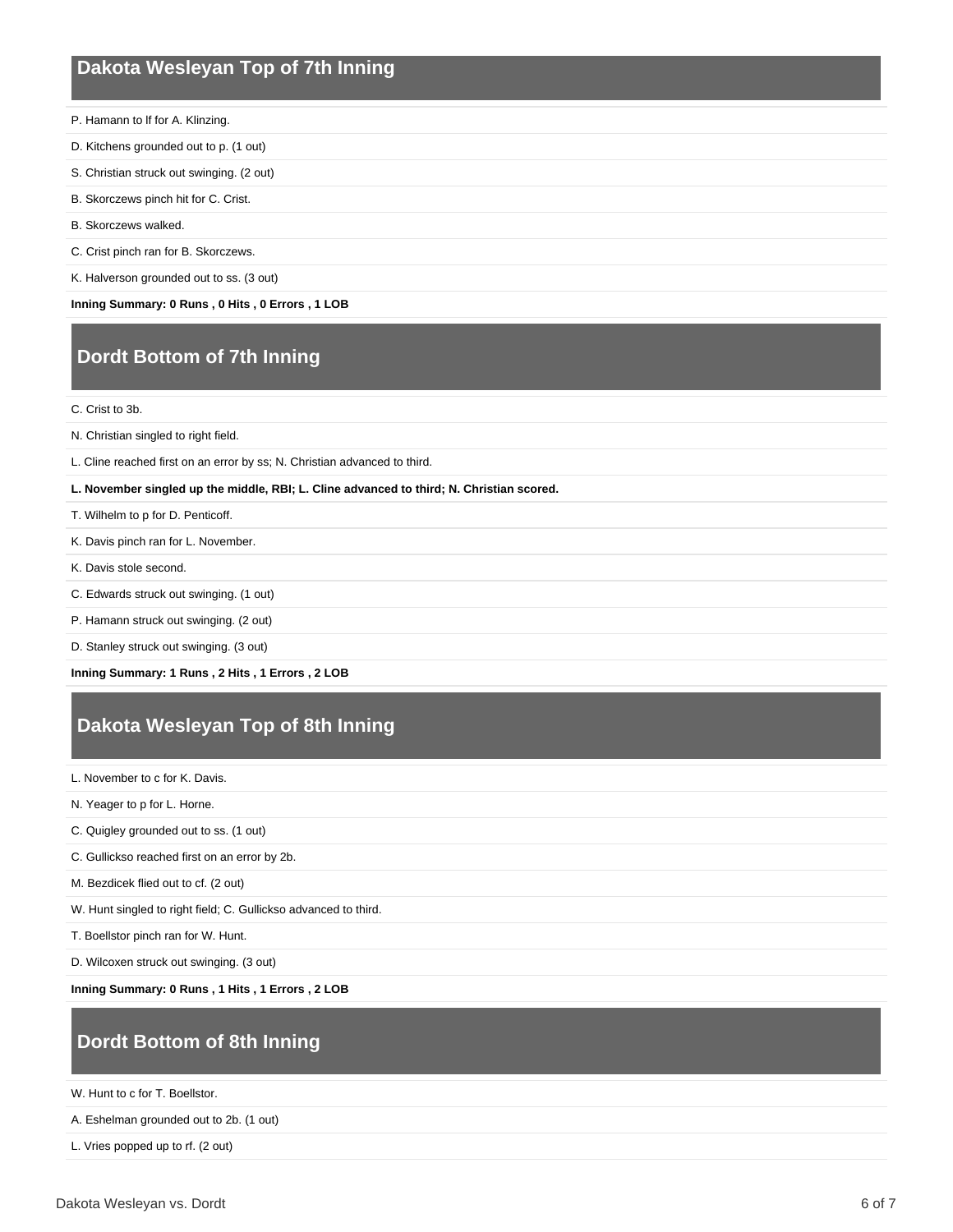#### **Dakota Wesleyan Top of 7th Inning**

- P. Hamann to lf for A. Klinzing.
- D. Kitchens grounded out to p. (1 out)
- S. Christian struck out swinging. (2 out)
- B. Skorczews pinch hit for C. Crist.
- B. Skorczews walked.
- C. Crist pinch ran for B. Skorczews.
- K. Halverson grounded out to ss. (3 out)

**Inning Summary: 0 Runs , 0 Hits , 0 Errors , 1 LOB**

## **Dordt Bottom of 7th Inning**

C. Crist to 3b.

- N. Christian singled to right field.
- L. Cline reached first on an error by ss; N. Christian advanced to third.
- **L. November singled up the middle, RBI; L. Cline advanced to third; N. Christian scored.**
- T. Wilhelm to p for D. Penticoff.
- K. Davis pinch ran for L. November.
- K. Davis stole second.
- C. Edwards struck out swinging. (1 out)
- P. Hamann struck out swinging. (2 out)
- D. Stanley struck out swinging. (3 out)

**Inning Summary: 1 Runs , 2 Hits , 1 Errors , 2 LOB**

## **Dakota Wesleyan Top of 8th Inning**

- L. November to c for K. Davis.
- N. Yeager to p for L. Horne.
- C. Quigley grounded out to ss. (1 out)
- C. Gullickso reached first on an error by 2b.
- M. Bezdicek flied out to cf. (2 out)
- W. Hunt singled to right field; C. Gullickso advanced to third.
- T. Boellstor pinch ran for W. Hunt.
- D. Wilcoxen struck out swinging. (3 out)

**Inning Summary: 0 Runs , 1 Hits , 1 Errors , 2 LOB**

### **Dordt Bottom of 8th Inning**

W. Hunt to c for T. Boellstor.

A. Eshelman grounded out to 2b. (1 out)

L. Vries popped up to rf. (2 out)